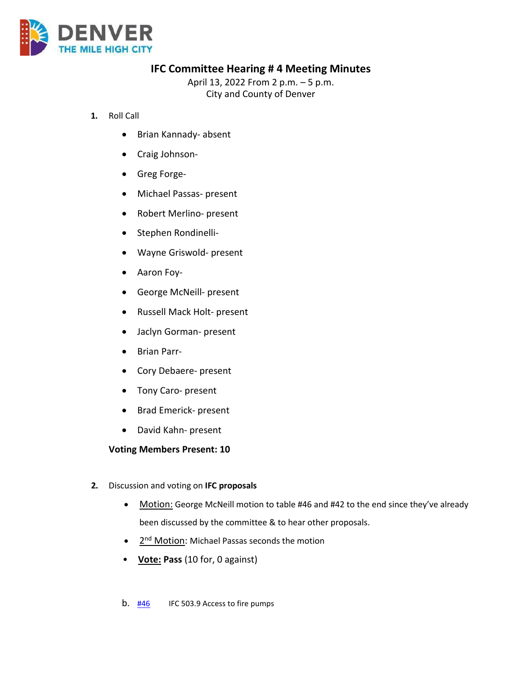

# **IFC Committee Hearing # 4 Meeting Minutes**

April 13, 2022 From 2 p.m. – 5 p.m. City and County of Denver

- **1.** Roll Call
	- Brian Kannady- absent
	- Craig Johnson-
	- Greg Forge-
	- Michael Passas- present
	- Robert Merlino- present
	- Stephen Rondinelli-
	- Wayne Griswold- present
	- Aaron Foy-
	- George McNeill- present
	- Russell Mack Holt- present
	- Jaclyn Gorman- present
	- Brian Parr-
	- Cory Debaere- present
	- Tony Caro- present
	- Brad Emerick- present
	- David Kahn- present

## **Voting Members Present: 10**

- **2.** Discussion and voting on **IFC proposals**
	- Motion: George McNeill motion to table #46 and #42 to the end since they've already been discussed by the committee & to hear other proposals.
	- 2<sup>nd</sup> Motion: Michael Passas seconds the motion
	- **Vote: Pass** (10 for, 0 against)
	- b.  $\frac{\#46}{\#46}$  $\frac{\#46}{\#46}$  $\frac{\#46}{\#46}$  IFC 503.9 Access to fire pumps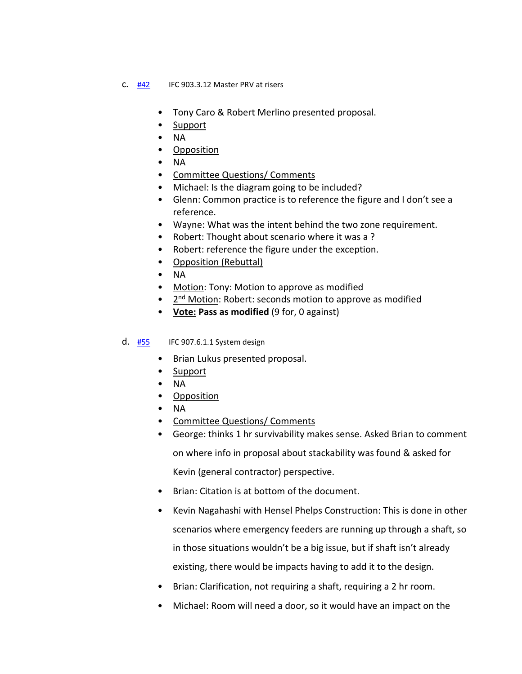#### **C.**  $\frac{\#42}{\#2}$  $\frac{\#42}{\#2}$  $\frac{\#42}{\#2}$  IFC 903.3.12 Master PRV at risers

- Tony Caro & Robert Merlino presented proposal.
- Support
- NA
- Opposition
- NA
- Committee Questions/ Comments
- Michael: Is the diagram going to be included?
- Glenn: Common practice is to reference the figure and I don't see a reference.
- Wayne: What was the intent behind the two zone requirement.
- Robert: Thought about scenario where it was a ?
- Robert: reference the figure under the exception.
- Opposition (Rebuttal)
- NA
- Motion: Tony: Motion to approve as modified
- 2<sup>nd</sup> Motion: Robert: seconds motion to approve as modified
- **Vote: Pass as modified** (9 for, 0 against)
- d. **[#55](https://www.denvergov.org/files/assets/public/community-planning-and-development/documents/ds/building-codes/code-adoption/amendment-proposals/ifc/ifc_907.6.1.1.1.pdf)** IFC 907.6.1.1 System design
	- Brian Lukus presented proposal.
	- Support
	- NA
	- Opposition
	- NA
	- Committee Questions/ Comments
	- George: thinks 1 hr survivability makes sense. Asked Brian to comment on where info in proposal about stackability was found & asked for Kevin (general contractor) perspective.
	- Brian: Citation is at bottom of the document.
	- Kevin Nagahashi with Hensel Phelps Construction: This is done in other scenarios where emergency feeders are running up through a shaft, so in those situations wouldn't be a big issue, but if shaft isn't already existing, there would be impacts having to add it to the design.
	- Brian: Clarification, not requiring a shaft, requiring a 2 hr room.
	- Michael: Room will need a door, so it would have an impact on the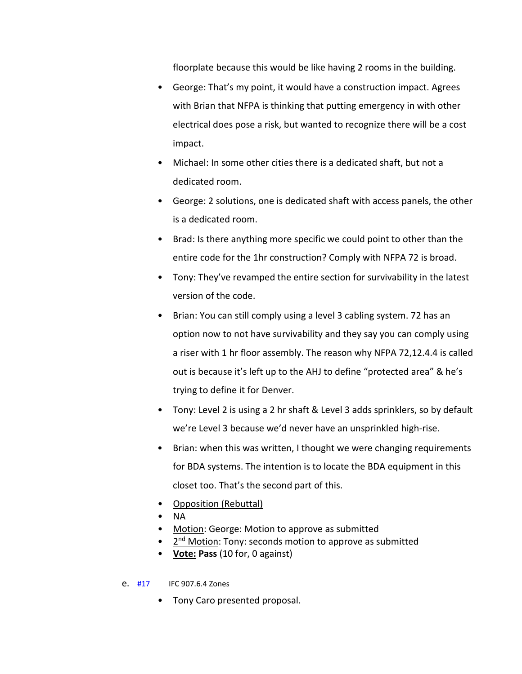floorplate because this would be like having 2 rooms in the building.

- George: That's my point, it would have a construction impact. Agrees with Brian that NFPA is thinking that putting emergency in with other electrical does pose a risk, but wanted to recognize there will be a cost impact.
- Michael: In some other cities there is a dedicated shaft, but not a dedicated room.
- George: 2 solutions, one is dedicated shaft with access panels, the other is a dedicated room.
- Brad: Is there anything more specific we could point to other than the entire code for the 1hr construction? Comply with NFPA 72 is broad.
- Tony: They've revamped the entire section for survivability in the latest version of the code.
- Brian: You can still comply using a level 3 cabling system. 72 has an option now to not have survivability and they say you can comply using a riser with 1 hr floor assembly. The reason why NFPA 72,12.4.4 is called out is because it's left up to the AHJ to define "protected area" & he's trying to define it for Denver.
- Tony: Level 2 is using a 2 hr shaft & Level 3 adds sprinklers, so by default we're Level 3 because we'd never have an unsprinkled high-rise.
- Brian: when this was written, I thought we were changing requirements for BDA systems. The intention is to locate the BDA equipment in this closet too. That's the second part of this.
- Opposition (Rebuttal)
- NA
- Motion: George: Motion to approve as submitted
- 2<sup>nd</sup> Motion: Tony: seconds motion to approve as submitted
- **Vote: Pass** (10 for, 0 against)
- e. [#17](https://www.denvergov.org/files/assets/public/community-planning-and-development/documents/ds/building-codes/code-adoption/amendment-proposals/ifc/ifc_907.6.4.pdf) IFC 907.6.4 Zones
	- Tony Caro presented proposal.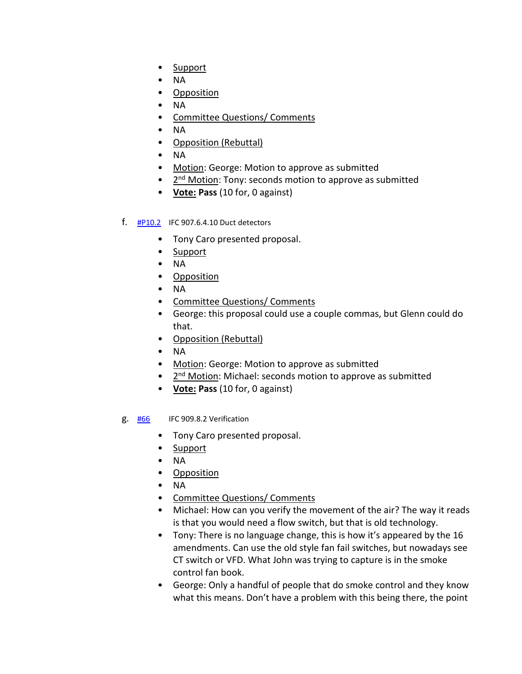- Support
- NA
- Opposition
- NA
- Committee Questions/ Comments
- NA
- Opposition (Rebuttal)
- NA
- Motion: George: Motion to approve as submitted
- 2<sup>nd</sup> Motion: Tony: seconds motion to approve as submitted
- **Vote: Pass** (10 for, 0 against)

### f. [#P10.2](https://www.denvergov.org/files/assets/public/community-planning-and-development/documents/ds/building-codes/code-adoption/amendment-proposals/ifc/ifc_907.6.4.10.pdf) IFC 907.6.4.10 Duct detectors

- Tony Caro presented proposal.
- Support
- NA
- Opposition
- NA
- Committee Questions/ Comments
- George: this proposal could use a couple commas, but Glenn could do that.
- Opposition (Rebuttal)
- NA
- Motion: George: Motion to approve as submitted
- 2<sup>nd</sup> Motion: Michael: seconds motion to approve as submitted
- **Vote: Pass** (10 for, 0 against)
- g. [#66](https://www.denvergov.org/files/assets/public/community-planning-and-development/documents/ds/building-codes/code-adoption/amendment-proposals/ifc/ifc_909.8.2.pdf) IFC 909.8.2 Verification
	- Tony Caro presented proposal.
	- Support
	- NA
	- Opposition
	- NA
	- Committee Questions/ Comments
	- Michael: How can you verify the movement of the air? The way it reads is that you would need a flow switch, but that is old technology.
	- Tony: There is no language change, this is how it's appeared by the 16 amendments. Can use the old style fan fail switches, but nowadays see CT switch or VFD. What John was trying to capture is in the smoke control fan book.
	- George: Only a handful of people that do smoke control and they know what this means. Don't have a problem with this being there, the point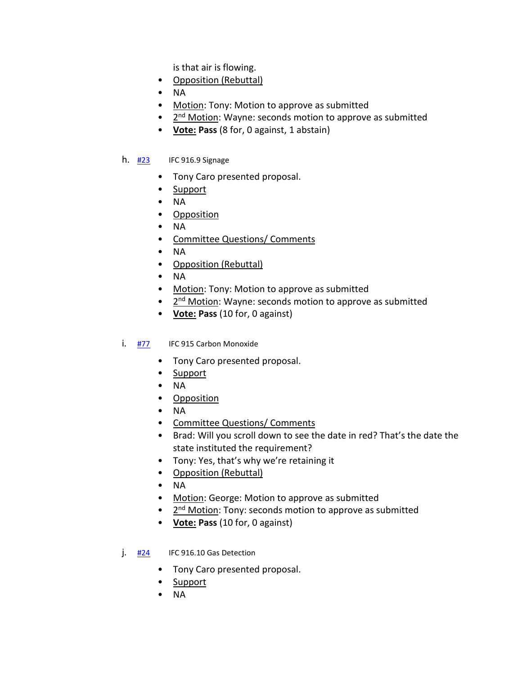is that air is flowing.

- Opposition (Rebuttal)
- NA
- Motion: Tony: Motion to approve as submitted
- 2<sup>nd</sup> Motion: Wayne: seconds motion to approve as submitted
- **Vote: Pass** (8 for, 0 against, 1 abstain)
- h.  $\frac{#23}{}$  $\frac{#23}{}$  $\frac{#23}{}$  IFC 916.9 Signage
	- Tony Caro presented proposal.
	- Support
	- NA
	- Opposition
	- NA
	- Committee Questions/ Comments
	- NA
	- Opposition (Rebuttal)
	- NA
	- Motion: Tony: Motion to approve as submitted
	- 2<sup>nd</sup> Motion: Wayne: seconds motion to approve as submitted
	- **Vote: Pass** (10 for, 0 against)
- i. [#77](https://www.denvergov.org/files/assets/public/community-planning-and-development/documents/ds/building-codes/code-adoption/amendment-proposals/ifc/ifc_915.pdf) IFC 915 Carbon Monoxide
	- Tony Caro presented proposal.
	- Support
	- NA
	- Opposition
	- NA
	- Committee Questions/ Comments
	- Brad: Will you scroll down to see the date in red? That's the date the state instituted the requirement?
	- Tony: Yes, that's why we're retaining it
	- Opposition (Rebuttal)
	- NA
	- Motion: George: Motion to approve as submitted
	- 2<sup>nd</sup> Motion: Tony: seconds motion to approve as submitted
	- **Vote: Pass** (10 for, 0 against)
- j. [#24](https://www.denvergov.org/files/assets/public/community-planning-and-development/documents/ds/building-codes/code-adoption/amendment-proposals/ifc/ifc_916.10.pdf) IFC 916.10 Gas Detection
	- Tony Caro presented proposal.
	- Support
	- NA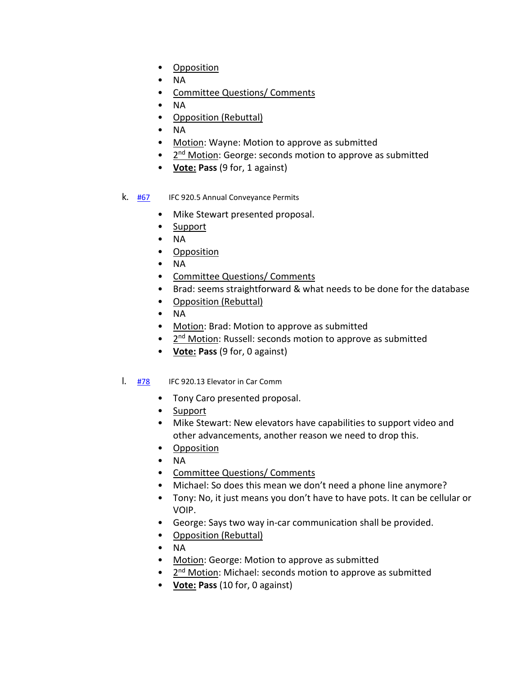- Opposition
- NA
- Committee Questions/ Comments
- NA
- Opposition (Rebuttal)
- NA
- Motion: Wayne: Motion to approve as submitted
- $\bullet$   $2^{nd}$  Motion: George: seconds motion to approve as submitted
- **Vote: Pass** (9 for, 1 against)

### k. [#67](https://www.denvergov.org/files/assets/public/community-planning-and-development/documents/ds/building-codes/code-adoption/amendment-proposals/ifc/ifc_920.5.pdf) IFC 920.5 Annual Conveyance Permits

- Mike Stewart presented proposal.
- Support
- NA
- Opposition
- NA
- Committee Questions/ Comments
- Brad: seems straightforward & what needs to be done for the database
- Opposition (Rebuttal)
- NA
- Motion: Brad: Motion to approve as submitted
- $\bullet$   $2^{nd}$  Motion: Russell: seconds motion to approve as submitted
- **Vote: Pass** (9 for, 0 against)

#### l. [#78](https://www.denvergov.org/files/assets/public/community-planning-and-development/documents/ds/building-codes/code-adoption/amendment-proposals/ifc/ifc_920.13.pdf) IFC 920.13 Elevator in Car Comm

- Tony Caro presented proposal.
- Support
- Mike Stewart: New elevators have capabilities to support video and other advancements, another reason we need to drop this.
- Opposition
- NA
- Committee Questions/ Comments
- Michael: So does this mean we don't need a phone line anymore?
- Tony: No, it just means you don't have to have pots. It can be cellular or VOIP.
- George: Says two way in-car communication shall be provided.
- Opposition (Rebuttal)
- NA
- Motion: George: Motion to approve as submitted
- 2<sup>nd</sup> Motion: Michael: seconds motion to approve as submitted
- **Vote: Pass** (10 for, 0 against)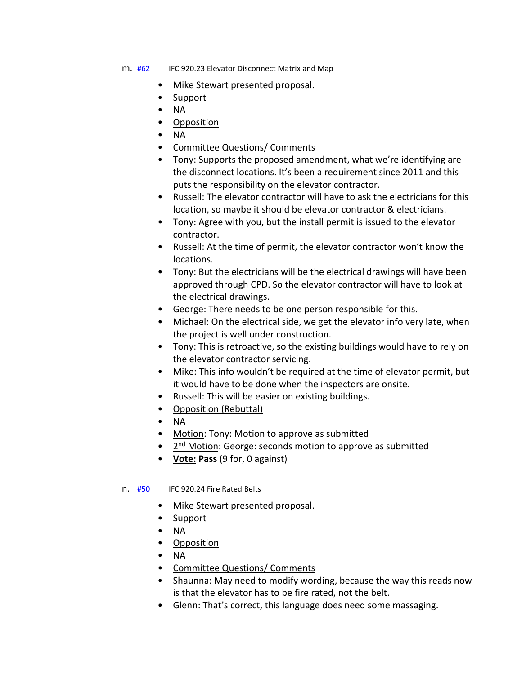- m. [#62](https://www.denvergov.org/files/assets/public/community-planning-and-development/documents/ds/building-codes/code-adoption/amendment-proposals/ifc/ifc_920.23.pdf) IFC 920.23 Elevator Disconnect Matrix and Map
	- Mike Stewart presented proposal.
	- Support
	- NA
	- Opposition
	- NA
	- Committee Questions/ Comments
	- Tony: Supports the proposed amendment, what we're identifying are the disconnect locations. It's been a requirement since 2011 and this puts the responsibility on the elevator contractor.
	- Russell: The elevator contractor will have to ask the electricians for this location, so maybe it should be elevator contractor & electricians.
	- Tony: Agree with you, but the install permit is issued to the elevator contractor.
	- Russell: At the time of permit, the elevator contractor won't know the locations.
	- Tony: But the electricians will be the electrical drawings will have been approved through CPD. So the elevator contractor will have to look at the electrical drawings.
	- George: There needs to be one person responsible for this.
	- Michael: On the electrical side, we get the elevator info very late, when the project is well under construction.
	- Tony: This is retroactive, so the existing buildings would have to rely on the elevator contractor servicing.
	- Mike: This info wouldn't be required at the time of elevator permit, but it would have to be done when the inspectors are onsite.
	- Russell: This will be easier on existing buildings.
	- Opposition (Rebuttal)
	- NA
	- Motion: Tony: Motion to approve as submitted
	- 2<sup>nd</sup> Motion: George: seconds motion to approve as submitted
	- **Vote: Pass** (9 for, 0 against)
- n. [#50](https://www.denvergov.org/files/assets/public/community-planning-and-development/documents/ds/building-codes/code-adoption/amendment-proposals/ifc/ifc_920.24.pdf) IFC 920.24 Fire Rated Belts
	- Mike Stewart presented proposal.
	- Support
	- NA
	- Opposition
	- NA
	- Committee Questions/ Comments
	- Shaunna: May need to modify wording, because the way this reads now is that the elevator has to be fire rated, not the belt.
	- Glenn: That's correct, this language does need some massaging.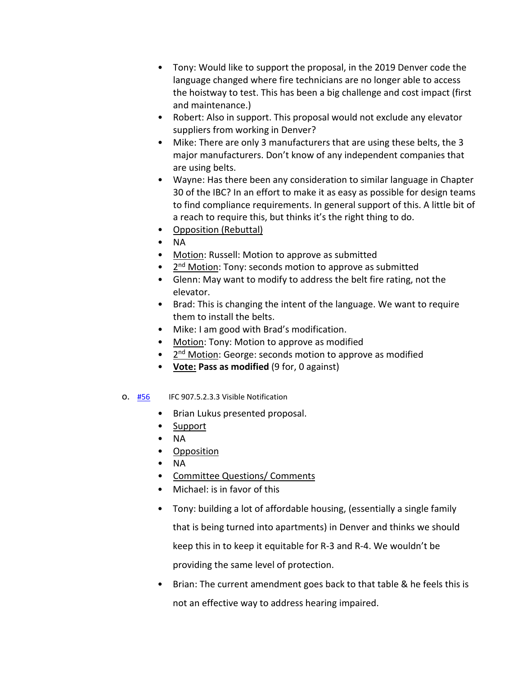- Tony: Would like to support the proposal, in the 2019 Denver code the language changed where fire technicians are no longer able to access the hoistway to test. This has been a big challenge and cost impact (first and maintenance.)
- Robert: Also in support. This proposal would not exclude any elevator suppliers from working in Denver?
- Mike: There are only 3 manufacturers that are using these belts, the 3 major manufacturers. Don't know of any independent companies that are using belts.
- Wayne: Has there been any consideration to similar language in Chapter 30 of the IBC? In an effort to make it as easy as possible for design teams to find compliance requirements. In general support of this. A little bit of a reach to require this, but thinks it's the right thing to do.
- Opposition (Rebuttal)
- NA
- Motion: Russell: Motion to approve as submitted
- 2<sup>nd</sup> Motion: Tony: seconds motion to approve as submitted
- Glenn: May want to modify to address the belt fire rating, not the elevator.
- Brad: This is changing the intent of the language. We want to require them to install the belts.
- Mike: I am good with Brad's modification.
- Motion: Tony: Motion to approve as modified
- 2<sup>nd</sup> Motion: George: seconds motion to approve as modified
- **Vote: Pass as modified** (9 for, 0 against)
- o. [#56](https://www.denvergov.org/files/assets/public/community-planning-and-development/documents/ds/building-codes/code-adoption/amendment-proposals/ifc/56_ifc_907.5.2.3.3_907.5.2.3.4.pdf) IFC 907.5.2.3.3 Visible Notification
	- Brian Lukus presented proposal.
	- Support
	- NA
	- Opposition
	- NA
	- Committee Questions/ Comments
	- Michael: is in favor of this
	- Tony: building a lot of affordable housing, (essentially a single family that is being turned into apartments) in Denver and thinks we should keep this in to keep it equitable for R-3 and R-4. We wouldn't be providing the same level of protection.
	- Brian: The current amendment goes back to that table & he feels this is not an effective way to address hearing impaired.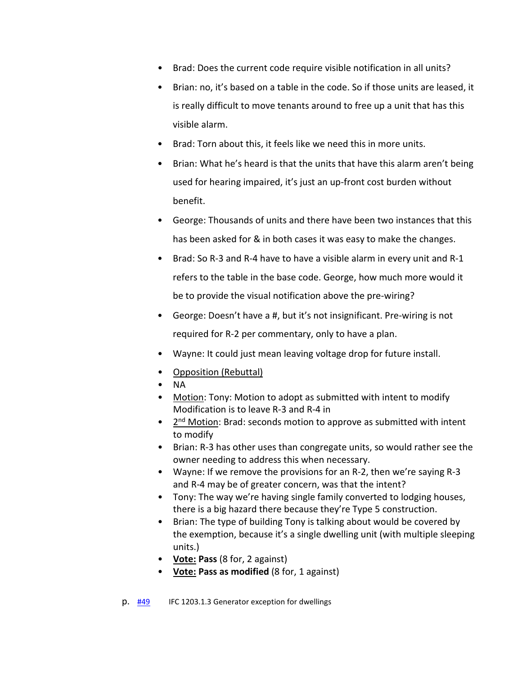- Brad: Does the current code require visible notification in all units?
- Brian: no, it's based on a table in the code. So if those units are leased, it is really difficult to move tenants around to free up a unit that has this visible alarm.
- Brad: Torn about this, it feels like we need this in more units.
- Brian: What he's heard is that the units that have this alarm aren't being used for hearing impaired, it's just an up-front cost burden without benefit.
- George: Thousands of units and there have been two instances that this has been asked for & in both cases it was easy to make the changes.
- Brad: So R-3 and R-4 have to have a visible alarm in every unit and R-1 refers to the table in the base code. George, how much more would it be to provide the visual notification above the pre-wiring?
- George: Doesn't have a #, but it's not insignificant. Pre-wiring is not required for R-2 per commentary, only to have a plan.
- Wayne: It could just mean leaving voltage drop for future install.
- Opposition (Rebuttal)
- NA
- Motion: Tony: Motion to adopt as submitted with intent to modify Modification is to leave R-3 and R-4 in
- 2<sup>nd</sup> Motion: Brad: seconds motion to approve as submitted with intent to modify
- Brian: R-3 has other uses than congregate units, so would rather see the owner needing to address this when necessary.
- Wayne: If we remove the provisions for an R-2, then we're saying R-3 and R-4 may be of greater concern, was that the intent?
- Tony: The way we're having single family converted to lodging houses, there is a big hazard there because they're Type 5 construction.
- Brian: The type of building Tony is talking about would be covered by the exemption, because it's a single dwelling unit (with multiple sleeping units.)
- **Vote: Pass** (8 for, 2 against)
- **Vote: Pass as modified** (8 for, 1 against)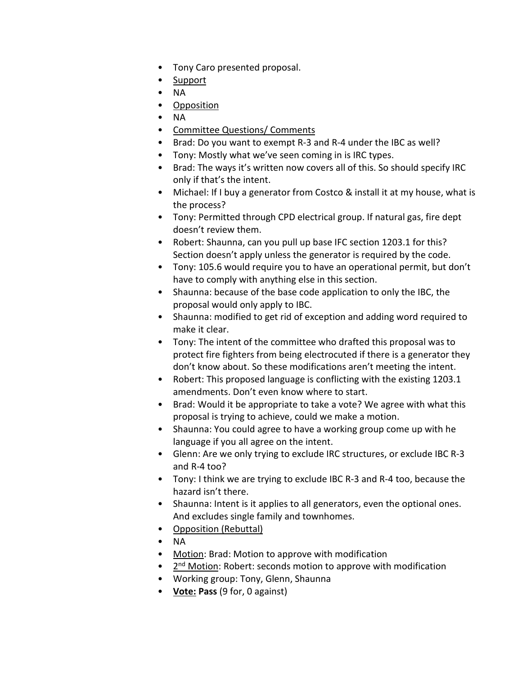- Tony Caro presented proposal.
- Support
- NA
- Opposition
- NA
- Committee Questions/ Comments
- Brad: Do you want to exempt R-3 and R-4 under the IBC as well?
- Tony: Mostly what we've seen coming in is IRC types.
- Brad: The ways it's written now covers all of this. So should specify IRC only if that's the intent.
- Michael: If I buy a generator from Costco & install it at my house, what is the process?
- Tony: Permitted through CPD electrical group. If natural gas, fire dept doesn't review them.
- Robert: Shaunna, can you pull up base IFC section 1203.1 for this? Section doesn't apply unless the generator is required by the code.
- Tony: 105.6 would require you to have an operational permit, but don't have to comply with anything else in this section.
- Shaunna: because of the base code application to only the IBC, the proposal would only apply to IBC.
- Shaunna: modified to get rid of exception and adding word required to make it clear.
- Tony: The intent of the committee who drafted this proposal was to protect fire fighters from being electrocuted if there is a generator they don't know about. So these modifications aren't meeting the intent.
- Robert: This proposed language is conflicting with the existing 1203.1 amendments. Don't even know where to start.
- Brad: Would it be appropriate to take a vote? We agree with what this proposal is trying to achieve, could we make a motion.
- Shaunna: You could agree to have a working group come up with he language if you all agree on the intent.
- Glenn: Are we only trying to exclude IRC structures, or exclude IBC R-3 and R-4 too?
- Tony: I think we are trying to exclude IBC R-3 and R-4 too, because the hazard isn't there.
- Shaunna: Intent is it applies to all generators, even the optional ones. And excludes single family and townhomes.
- Opposition (Rebuttal)
- NA
- Motion: Brad: Motion to approve with modification
- 2<sup>nd</sup> Motion: Robert: seconds motion to approve with modification
- Working group: Tony, Glenn, Shaunna
- **Vote: Pass** (9 for, 0 against)